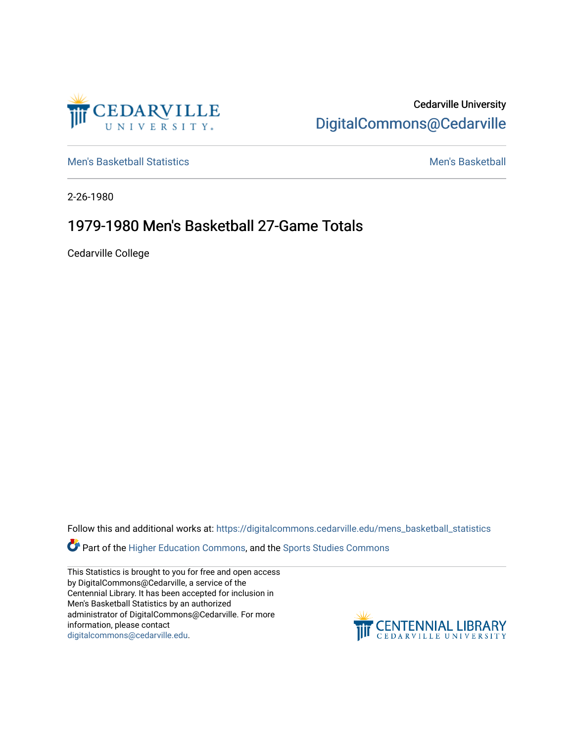

Cedarville University [DigitalCommons@Cedarville](https://digitalcommons.cedarville.edu/) 

[Men's Basketball Statistics](https://digitalcommons.cedarville.edu/mens_basketball_statistics) [Men's Basketball](https://digitalcommons.cedarville.edu/mens_basketball) 

2-26-1980

## 1979-1980 Men's Basketball 27-Game Totals

Cedarville College

Follow this and additional works at: [https://digitalcommons.cedarville.edu/mens\\_basketball\\_statistics](https://digitalcommons.cedarville.edu/mens_basketball_statistics?utm_source=digitalcommons.cedarville.edu%2Fmens_basketball_statistics%2F294&utm_medium=PDF&utm_campaign=PDFCoverPages) 

Part of the [Higher Education Commons,](http://network.bepress.com/hgg/discipline/1245?utm_source=digitalcommons.cedarville.edu%2Fmens_basketball_statistics%2F294&utm_medium=PDF&utm_campaign=PDFCoverPages) and the Sports Studies Commons

This Statistics is brought to you for free and open access by DigitalCommons@Cedarville, a service of the Centennial Library. It has been accepted for inclusion in Men's Basketball Statistics by an authorized administrator of DigitalCommons@Cedarville. For more information, please contact [digitalcommons@cedarville.edu](mailto:digitalcommons@cedarville.edu).